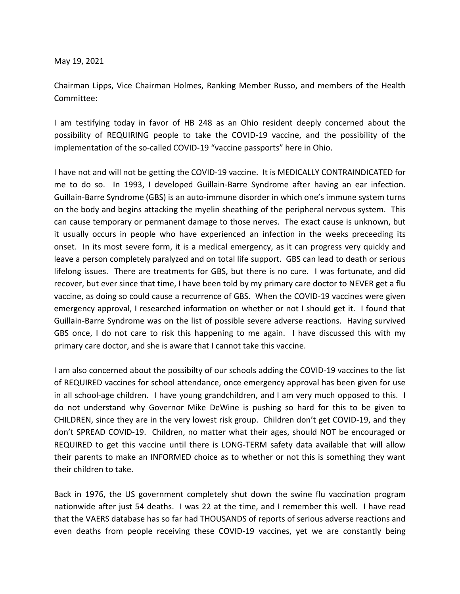May 19, 2021

Chairman Lipps, Vice Chairman Holmes, Ranking Member Russo, and members of the Health Committee:

I am testifying today in favor of HB 248 as an Ohio resident deeply concerned about the possibility of REQUIRING people to take the COVID-19 vaccine, and the possibility of the implementation of the so-called COVID-19 "vaccine passports" here in Ohio.

I have not and will not be getting the COVID-19 vaccine. It is MEDICALLY CONTRAINDICATED for me to do so. In 1993, I developed Guillain-Barre Syndrome after having an ear infection. Guillain-Barre Syndrome (GBS) is an auto-immune disorder in which one's immune system turns on the body and begins attacking the myelin sheathing of the peripheral nervous system. This can cause temporary or permanent damage to those nerves. The exact cause is unknown, but it usually occurs in people who have experienced an infection in the weeks preceeding its onset. In its most severe form, it is a medical emergency, as it can progress very quickly and leave a person completely paralyzed and on total life support. GBS can lead to death or serious lifelong issues. There are treatments for GBS, but there is no cure. I was fortunate, and did recover, but ever since that time, I have been told by my primary care doctor to NEVER get a flu vaccine, as doing so could cause a recurrence of GBS. When the COVID-19 vaccines were given emergency approval, I researched information on whether or not I should get it. I found that Guillain-Barre Syndrome was on the list of possible severe adverse reactions. Having survived GBS once, I do not care to risk this happening to me again. I have discussed this with my primary care doctor, and she is aware that I cannot take this vaccine.

I am also concerned about the possibilty of our schools adding the COVID-19 vaccines to the list of REQUIRED vaccines for school attendance, once emergency approval has been given for use in all school-age children. I have young grandchildren, and I am very much opposed to this. I do not understand why Governor Mike DeWine is pushing so hard for this to be given to CHILDREN, since they are in the very lowest risk group. Children don't get COVID-19, and they don't SPREAD COVID-19. Children, no matter what their ages, should NOT be encouraged or REQUIRED to get this vaccine until there is LONG-TERM safety data available that will allow their parents to make an INFORMED choice as to whether or not this is something they want their children to take.

Back in 1976, the US government completely shut down the swine flu vaccination program nationwide after just 54 deaths. I was 22 at the time, and I remember this well. I have read that the VAERS database has so far had THOUSANDS of reports of serious adverse reactions and even deaths from people receiving these COVID-19 vaccines, yet we are constantly being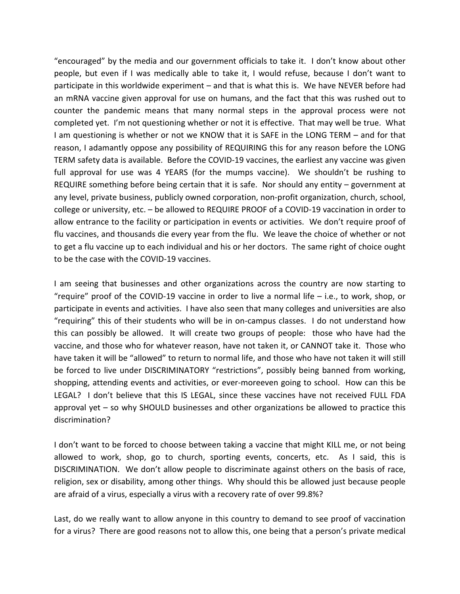"encouraged" by the media and our government officials to take it. I don't know about other people, but even if I was medically able to take it, I would refuse, because I don't want to participate in this worldwide experiment – and that is what this is. We have NEVER before had an mRNA vaccine given approval for use on humans, and the fact that this was rushed out to counter the pandemic means that many normal steps in the approval process were not completed yet. I'm not questioning whether or not it is effective. That may well be true. What I am questioning is whether or not we KNOW that it is SAFE in the LONG TERM – and for that reason, I adamantly oppose any possibility of REQUIRING this for any reason before the LONG TERM safety data is available. Before the COVID-19 vaccines, the earliest any vaccine was given full approval for use was 4 YEARS (for the mumps vaccine). We shouldn't be rushing to REQUIRE something before being certain that it is safe. Nor should any entity – government at any level, private business, publicly owned corporation, non-profit organization, church, school, college or university, etc. – be allowed to REQUIRE PROOF of a COVID-19 vaccination in order to allow entrance to the facility or participation in events or activities. We don't require proof of flu vaccines, and thousands die every year from the flu. We leave the choice of whether or not to get a flu vaccine up to each individual and his or her doctors. The same right of choice ought to be the case with the COVID-19 vaccines.

I am seeing that businesses and other organizations across the country are now starting to "require" proof of the COVID-19 vaccine in order to live a normal life  $-$  i.e., to work, shop, or participate in events and activities. I have also seen that many colleges and universities are also "requiring" this of their students who will be in on-campus classes. I do not understand how this can possibly be allowed. It will create two groups of people: those who have had the vaccine, and those who for whatever reason, have not taken it, or CANNOT take it. Those who have taken it will be "allowed" to return to normal life, and those who have not taken it will still be forced to live under DISCRIMINATORY "restrictions", possibly being banned from working, shopping, attending events and activities, or ever-moreeven going to school. How can this be LEGAL? I don't believe that this IS LEGAL, since these vaccines have not received FULL FDA approval yet – so why SHOULD businesses and other organizations be allowed to practice this discrimination?

I don't want to be forced to choose between taking a vaccine that might KILL me, or not being allowed to work, shop, go to church, sporting events, concerts, etc. As I said, this is DISCRIMINATION. We don't allow people to discriminate against others on the basis of race, religion, sex or disability, among other things. Why should this be allowed just because people are afraid of a virus, especially a virus with a recovery rate of over 99.8%?

Last, do we really want to allow anyone in this country to demand to see proof of vaccination for a virus? There are good reasons not to allow this, one being that a person's private medical